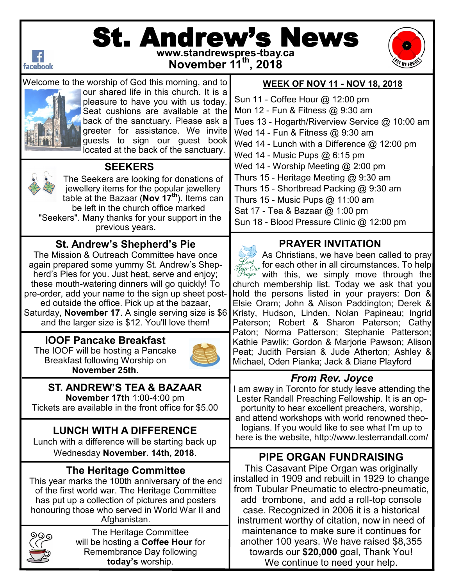

# St. Andrew's News **www.standrewspres-tbay.ca**







Welcome to the worship of God this morning, and to our shared life in this church. It is a pleasure to have you with us today. Seat cushions are available at the back of the sanctuary. Please ask a greeter for assistance. We invite guests to sign our guest book located at the back of the sanctuary.



 **SEEKERS**

The Seekers are looking for donations of jewellery items for the popular jewellery table at the Bazaar (**Nov 17th**). Items can be left in the church office marked "Seekers". Many thanks for your support in the previous years.

### **St. Andrew's Shepherd's Pie**

The Mission & Outreach Committee have once again prepared some yummy St. Andrew's Shepherd's Pies for you. Just heat, serve and enjoy; these mouth-watering dinners will go quickly! To pre-order, add your name to the sign up sheet posted outside the office. Pick up at the bazaar, Saturday, **November 17**. A single serving size is \$6 and the larger size is \$12. You'll love them!

### **IOOF Pancake Breakfast**

The IOOF will be hosting a Pancake Breakfast following Worship on **November 25th**.



# **ST. ANDREW'S TEA & BAZAAR**

**November 17th** 1:00-4:00 pm Tickets are available in the front office for \$5.00

### **LUNCH WITH A DIFFERENCE**

Lunch with a difference will be starting back up Wednesday **November. 14th, 2018**.

### **The Heritage Committee**

This year marks the 100th anniversary of the end of the first world war. The Heritage Committee has put up a collection of pictures and posters honouring those who served in World War II and Afghanistan.

The Heritage Committee will be hosting a **Coffee Hour** for Remembrance Day following **today's** worship.

#### **WEEK OF NOV 11 - NOV 18, 2018**

Sun 11 - Coffee Hour @ 12:00 pm Mon 12 - Fun & Fitness @ 9:30 am Tues 13 - Hogarth/Riverview Service @ 10:00 am Wed 14 - Fun & Fitness @ 9:30 am Wed 14 - Lunch with a Difference @ 12:00 pm Wed 14 - Music Pups  $@6:15$  pm Wed 14 - Worship Meeting @ 2:00 pm Thurs 15 - Heritage Meeting @ 9:30 am Thurs 15 - Shortbread Packing @ 9:30 am Thurs 15 - Music Pups @ 11:00 am Sat 17 - Tea & Bazaar @ 1:00 pm Sun 18 - Blood Pressure Clinic @ 12:00 pm

### **PRAYER INVITATION**

As Christians, we have been called to pray for each other in all circumstances. To help with this, we simply move through the church membership list. Today we ask that you hold the persons listed in your prayers: Don & Elsie Oram; John & Alison Paddington; Derek & Kristy, Hudson, Linden, Nolan Papineau; Ingrid Paterson; Robert & Sharon Paterson; Cathy Paton; Norma Patterson; Stephanie Patterson; Kathie Pawlik; Gordon & Marjorie Pawson; Alison Peat; Judith Persian & Jude Atherton; Ashley & Michael, Oden Pianka; Jack & Diane Playford

### *From Rev. Joyce*

I am away in Toronto for study leave attending the Lester Randall Preaching Fellowship. It is an opportunity to hear excellent preachers, worship, and attend workshops with world renowned theologians. If you would like to see what I'm up to here is the website, http://www.lesterrandall.com/

### **PIPE ORGAN FUNDRAISING**

This Casavant Pipe Organ was originally installed in 1909 and rebuilt in 1929 to change from Tubular Pneumatic to electro-pneumatic, add trombone, and add a roll-top console case. Recognized in 2006 it is a historical instrument worthy of citation, now in need of maintenance to make sure it continues for another 100 years. We have raised \$8,355 towards our **\$20,000** goal, Thank You! We continue to need your help.